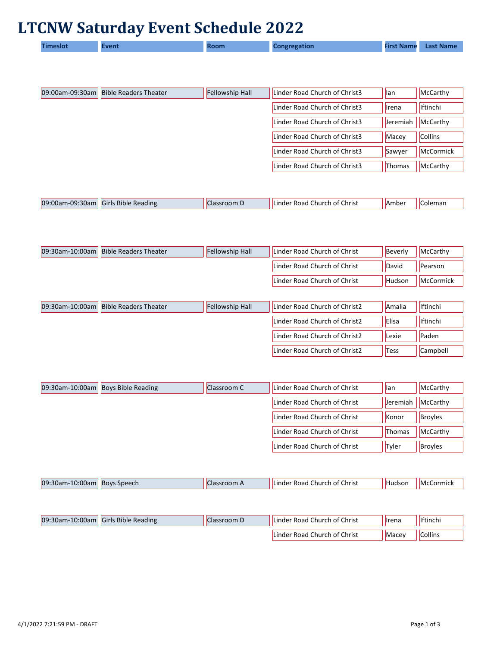## **LTCNW Saturday Event Schedule 2022**

|  | 'imeslot | Event |  | Congregation | <b>First Name</b> | <b>Last Name</b> |
|--|----------|-------|--|--------------|-------------------|------------------|
|--|----------|-------|--|--------------|-------------------|------------------|

| <b>Bible Readers Theater</b><br>09:00am-09:30am | <b>Fellowship Hall</b> | Linder Road Church of Christ3 | llan            | McCarthy         |
|-------------------------------------------------|------------------------|-------------------------------|-----------------|------------------|
|                                                 |                        | Linder Road Church of Christ3 | <b>I</b> rena   | <b>Iftinchi</b>  |
|                                                 |                        | Linder Road Church of Christ3 | <b>Jeremiah</b> | McCarthy         |
|                                                 |                        | Linder Road Church of Christ3 | Macey           | <b>Collins</b>   |
|                                                 |                        | Linder Road Church of Christ3 | Sawyer          | <b>McCormick</b> |
|                                                 |                        | Linder Road Church of Christ3 | Thomas          | McCarthy         |

| 09:00am-09:<br>$\cdot$ 30am | : Reading<br>-Bible<br>Girls | OOIII D | Christ<br>.Linder<br>0t<br>Church<br>Road | . IAmber | Coleman |
|-----------------------------|------------------------------|---------|-------------------------------------------|----------|---------|
|                             |                              |         |                                           |          |         |

| 09:30am-10:00am Bible Readers Theater | <b>Fellowship Hall</b> | Linder Road Church of Christ | Beverly | McCarthy  |
|---------------------------------------|------------------------|------------------------------|---------|-----------|
|                                       |                        | Linder Road Church of Christ | David   | Pearson   |
|                                       |                        | Linder Road Church of Christ | Hudson  | McCormick |

| 09:30am-10:00am   Bible Readers Theater | <b>Fellowship Hall</b> | Linder Road Church of Christ2 | Amalia       | <b>I</b> ftinchi |
|-----------------------------------------|------------------------|-------------------------------|--------------|------------------|
|                                         |                        | Linder Road Church of Christ2 | <b>Elisa</b> | <b>Iftinchi</b>  |
|                                         |                        | Linder Road Church of Christ2 | Lexie        | Paden            |
|                                         |                        | Linder Road Church of Christ2 | Tess         | Campbell         |

| 09:30am-10:00am Boys Bible Reading | Classroom C | Linder Road Church of Christ | llan            | McCarthy       |
|------------------------------------|-------------|------------------------------|-----------------|----------------|
|                                    |             | Linder Road Church of Christ | <b>Jeremiah</b> | McCarthy       |
|                                    |             | Linder Road Church of Christ | Konor           | <b>Broyles</b> |
|                                    |             | Linder Road Church of Christ | <b>Thomas</b>   | McCarthy       |
|                                    |             | Linder Road Church of Christ | Tyler           | <b>Broyles</b> |

| 09:30<br>$\cdots$<br><b>Jon</b><br>LU.UUdi | Speech<br><b>IBOVS</b> | Christ<br>. Church<br>. റ†<br>Linder.<br>коас | Hudsor | orm<br>mick<br><b>IMC</b> |
|--------------------------------------------|------------------------|-----------------------------------------------|--------|---------------------------|
|                                            |                        |                                               |        |                           |

| 09:30am-10:00am | <b>Girls Bible Reading</b> | Llassroom D | ' Linder Road Church of Christ | <b>Ilrena</b> | <b>Iftinchi</b> |
|-----------------|----------------------------|-------------|--------------------------------|---------------|-----------------|
|                 |                            |             | Linder Road Church of Christ   | Macev         | Collins         |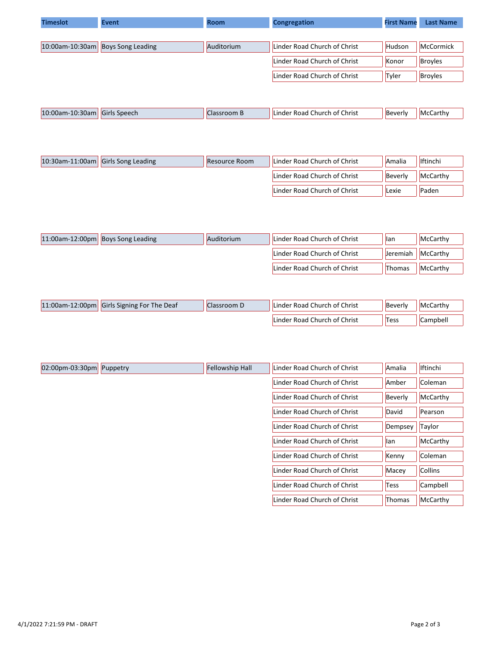| <b>Timeslot</b> | <b>Event</b>                      | <b>Room</b> | <b>Congregation</b>          | <b>First Name</b> | <b>Last Name</b> |
|-----------------|-----------------------------------|-------------|------------------------------|-------------------|------------------|
|                 |                                   |             |                              |                   |                  |
|                 | 10:00am-10:30am Boys Song Leading | Auditorium  | Linder Road Church of Christ | Hudson            | McCormick        |
|                 |                                   |             | Linder Road Church of Christ | Konor             | <b>Broyles</b>   |
|                 |                                   |             | Linder Road Church of Christ | Tyler             | <b>Broyles</b>   |
|                 |                                   |             |                              |                   |                  |

| 10:00an<br>$\sim$<br>. .<br>$-10^{-7}$<br>Speech<br>Girls<br>.30am | TOOD.<br>$\blacksquare$ | Christ<br>ot ۱<br>nurch $\epsilon$<br>inder<br>коас | lBeverly | …carth -<br>ıMr' |
|--------------------------------------------------------------------|-------------------------|-----------------------------------------------------|----------|------------------|
|--------------------------------------------------------------------|-------------------------|-----------------------------------------------------|----------|------------------|

| 10:30am-11:00am Girls Song Leading | <b>Resource Room</b> | Linder Road Church of Christ | Amalia  | <b>Iftinchi</b> |
|------------------------------------|----------------------|------------------------------|---------|-----------------|
|                                    |                      | Linder Road Church of Christ | Beverly | McCarthy        |
|                                    |                      | Linder Road Church of Christ | Lexie   | Paden           |

| 11:00am-12:00pm Boys Song Leading | Auditorium | Linder Road Church of Christ | llan     | McCarthy |
|-----------------------------------|------------|------------------------------|----------|----------|
|                                   |            | Linder Road Church of Christ | Jeremiah | McCarthy |
|                                   |            | Linder Road Church of Christ | Thomas   | McCarthy |

| 11:00am-12:00pm Girls Signing For The Deaf | Classroom D | Linder Road Church of Christ | Beverly | McCarthy |
|--------------------------------------------|-------------|------------------------------|---------|----------|
|                                            |             | Linder Road Church of Christ | Tess    | Campbell |

| $ 02:00$ pm-03:30pm Puppetry | <b>Fellowship Hall</b> | Linder Road Church of Christ | Amalia      | <b>Iftinchi</b> |
|------------------------------|------------------------|------------------------------|-------------|-----------------|
|                              |                        | Linder Road Church of Christ | Amber       | Coleman         |
|                              |                        | Linder Road Church of Christ | Beverly     | McCarthy        |
|                              |                        | Linder Road Church of Christ | David       | Pearson         |
|                              |                        | Linder Road Church of Christ | Dempsey     | Taylor          |
|                              |                        | Linder Road Church of Christ | llan        | McCarthy        |
|                              |                        | Linder Road Church of Christ | Kenny       | Coleman         |
|                              |                        | Linder Road Church of Christ | Macey       | <b>Collins</b>  |
|                              |                        | Linder Road Church of Christ | <b>Tess</b> | Campbell        |
|                              |                        | Linder Road Church of Christ | Thomas      | McCarthy        |